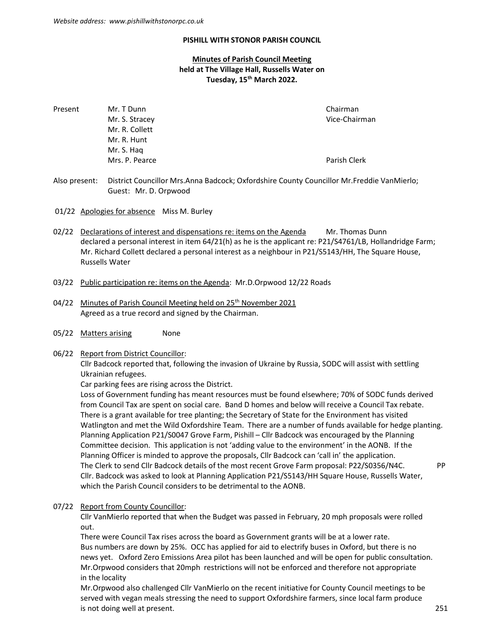#### PISHILL WITH STONOR PARISH COUNCIL

# Minutes of Parish Council Meeting held at The Village Hall, Russells Water on Tuesday, 15<sup>th</sup> March 2022.

| Mr. T Dunn     | Chairman      |
|----------------|---------------|
| Mr. S. Stracey | Vice-Chairman |
| Mr. R. Collett |               |
| Mr. R. Hunt    |               |
| Mr. S. Hag     |               |
| Mrs. P. Pearce | Parish Clerk  |
|                |               |

Also present: District Councillor Mrs.Anna Badcock; Oxfordshire County Councillor Mr.Freddie VanMierlo; Guest: Mr. D. Orpwood

- 01/22 Apologies for absence Miss M. Burley
- 02/22 Declarations of interest and dispensations re: items on the Agenda Mr. Thomas Dunn declared a personal interest in item 64/21(h) as he is the applicant re: P21/S4761/LB, Hollandridge Farm; Mr. Richard Collett declared a personal interest as a neighbour in P21/S5143/HH, The Square House, Russells Water
- 03/22 Public participation re: items on the Agenda: Mr.D.Orpwood 12/22 Roads
- 04/22 Minutes of Parish Council Meeting held on 25<sup>th</sup> November 2021 Agreed as a true record and signed by the Chairman.
- 05/22 Matters arising None

#### 06/22 Report from District Councillor:

 Cllr Badcock reported that, following the invasion of Ukraine by Russia, SODC will assist with settling Ukrainian refugees.

Car parking fees are rising across the District.

 Loss of Government funding has meant resources must be found elsewhere; 70% of SODC funds derived from Council Tax are spent on social care. Band D homes and below will receive a Council Tax rebate. There is a grant available for tree planting; the Secretary of State for the Environment has visited Watlington and met the Wild Oxfordshire Team. There are a number of funds available for hedge planting. Planning Application P21/S0047 Grove Farm, Pishill – Cllr Badcock was encouraged by the Planning Committee decision. This application is not 'adding value to the environment' in the AONB. If the Planning Officer is minded to approve the proposals, Cllr Badcock can 'call in' the application. The Clerk to send Cllr Badcock details of the most recent Grove Farm proposal: P22/S0356/N4C. PP Cllr. Badcock was asked to look at Planning Application P21/S5143/HH Square House, Russells Water, which the Parish Council considers to be detrimental to the AONB.

#### 07/22 Report from County Councillor:

 Cllr VanMierlo reported that when the Budget was passed in February, 20 mph proposals were rolled out.

 There were Council Tax rises across the board as Government grants will be at a lower rate. Bus numbers are down by 25%. OCC has applied for aid to electrify buses in Oxford, but there is no news yet. Oxford Zero Emissions Area pilot has been launched and will be open for public consultation. Mr.Orpwood considers that 20mph restrictions will not be enforced and therefore not appropriate in the locality

 Mr.Orpwood also challenged Cllr VanMierlo on the recent initiative for County Council meetings to be served with vegan meals stressing the need to support Oxfordshire farmers, since local farm produce is not doing well at present. 251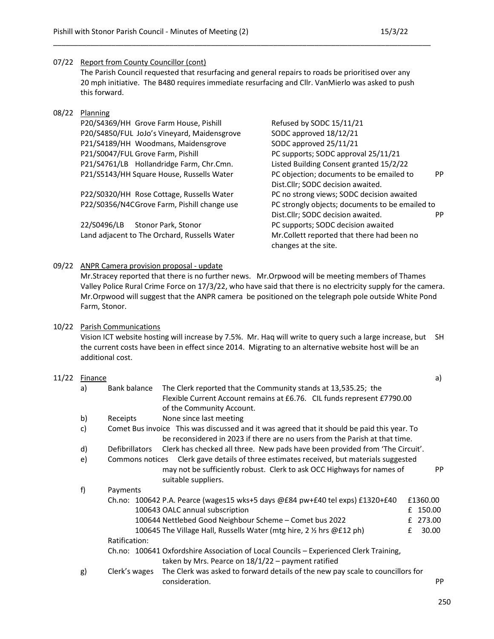# 07/22 Report from County Councillor (cont)

 The Parish Council requested that resurfacing and general repairs to roads be prioritised over any 20 mph initiative. The B480 requires immediate resurfacing and Cllr. VanMierlo was asked to push this forward.

\_\_\_\_\_\_\_\_\_\_\_\_\_\_\_\_\_\_\_\_\_\_\_\_\_\_\_\_\_\_\_\_\_\_\_\_\_\_\_\_\_\_\_\_\_\_\_\_\_\_\_\_\_\_\_\_\_\_\_\_\_\_\_\_\_\_\_\_\_\_\_\_\_\_\_\_\_\_\_\_\_\_\_\_\_\_\_\_\_\_\_

#### 08/22 Planning

P20/S4369/HH Grove Farm House, Pishill Refused by SODC 15/11/21 P20/S4850/FUL JoJo's Vineyard, Maidensgrove SODC approved 18/12/21 P21/S4189/HH Woodmans, Maidensgrove SODC approved 25/11/21 P21/S0047/FUL Grove Farm, Pishill PC supports; SODC approval 25/11/21 P21/S4761/LB Hollandridge Farm, Chr.Cmn. Listed Building Consent granted 15/2/22

P22/S0320/HH Rose Cottage, Russells Water PC no strong views; SODC decision awaited

22/S0496/LB Stonor Park, Stonor **Properties and PC supports**; SODC decision awaited Land adjacent to The Orchard, Russells Water Mr.Collett reported that there had been no

P21/S5143/HH Square House, Russells Water PC objection; documents to be emailed to PP Dist.Cllr; SODC decision awaited. P22/S0356/N4C Grove Farm, Pishill change use PC strongly objects; documents to be emailed to Dist.Cllr; SODC decision awaited. PP changes at the site.

# 09/22 ANPR Camera provision proposal - update

 Mr.Stracey reported that there is no further news. Mr.Orpwood will be meeting members of Thames Valley Police Rural Crime Force on 17/3/22, who have said that there is no electricity supply for the camera. Mr.Orpwood will suggest that the ANPR camera be positioned on the telegraph pole outside White Pond Farm, Stonor.

### 10/22 Parish Communications

 Vision ICT website hosting will increase by 7.5%. Mr. Haq will write to query such a large increase, but SH the current costs have been in effect since 2014. Migrating to an alternative website host will be an additional cost.

#### 11/22 Finance a) a)

| a)           | Bank balance          | The Clerk reported that the Community stands at 13,535.25; the                              |   |           |  |
|--------------|-----------------------|---------------------------------------------------------------------------------------------|---|-----------|--|
|              |                       | Flexible Current Account remains at £6.76. CIL funds represent £7790.00                     |   |           |  |
|              |                       | of the Community Account.                                                                   |   |           |  |
| b)           | Receipts              | None since last meeting                                                                     |   |           |  |
| c)           |                       | Comet Bus invoice This was discussed and it was agreed that it should be paid this year. To |   |           |  |
|              |                       | be reconsidered in 2023 if there are no users from the Parish at that time.                 |   |           |  |
| $\mathsf{d}$ | <b>Defibrillators</b> | Clerk has checked all three. New pads have been provided from 'The Circuit'.                |   |           |  |
| $\epsilon$   | Commons notices       | Clerk gave details of three estimates received, but materials suggested                     |   |           |  |
|              |                       | may not be sufficiently robust. Clerk to ask OCC Highways for names of                      |   | <b>PP</b> |  |
|              |                       | suitable suppliers.                                                                         |   |           |  |
| f)           | Payments              |                                                                                             |   |           |  |
|              |                       | Ch.no: 100642 P.A. Pearce (wages15 wks+5 days @£84 pw+£40 tel exps) £1320+£40               |   | £1360.00  |  |
|              |                       | 100643 OALC annual subscription                                                             |   | £ 150.00  |  |
|              |                       | 100644 Nettlebed Good Neighbour Scheme - Comet bus 2022                                     |   | 273.00    |  |
|              |                       | 100645 The Village Hall, Russells Water (mtg hire, 2 $\frac{1}{2}$ hrs @£12 ph)             | f | 30.00     |  |
|              | Ratification:         |                                                                                             |   |           |  |
|              |                       | Ch.no: 100641 Oxfordshire Association of Local Councils - Experienced Clerk Training,       |   |           |  |
|              |                       | taken by Mrs. Pearce on $18/1/22$ – payment ratified                                        |   |           |  |
| g)           | Clerk's wages         | The Clerk was asked to forward details of the new pay scale to councillors for              |   |           |  |
|              |                       | consideration.                                                                              |   | PP        |  |